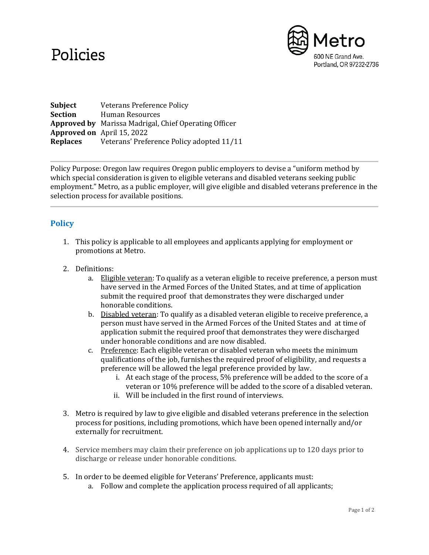## Policies



**Subject** Veterans Preference Policy **Section** Human Resources **Approved by** Marissa Madrigal, Chief Operating Officer **Approved on** April 15, 2022 **Replaces** Veterans' Preference Policy adopted 11/11

Policy Purpose: Oregon law requires Oregon public employers to devise a "uniform method by which special consideration is given to eligible veterans and disabled veterans seeking public employment." Metro, as a public employer, will give eligible and disabled veterans preference in the selection process for available positions.

## **Policy**

- 1. This policy is applicable to all employees and applicants applying for employment or promotions at Metro.
- 2. Definitions:
	- a. Eligible veteran: To qualify as a veteran eligible to receive preference, a person must have served in the Armed Forces of the United States, and at time of application submit the required proof that demonstrates they were discharged under honorable conditions.
	- b. Disabled veteran: To qualify as a disabled veteran eligible to receive preference, a person must have served in the Armed Forces of the United States and at time of application submit the required proof that demonstrates they were discharged under honorable conditions and are now disabled.
	- c. Preference: Each eligible veteran or disabled veteran who meets the minimum qualifications of the job, furnishes the required proof of eligibility, and requests a preference will be allowed the legal preference provided by law.
		- i. At each stage of the process, 5% preference will be added to the score of a veteran or 10% preference will be added to the score of a disabled veteran.
		- ii. Will be included in the first round of interviews.
- 3. Metro is required by law to give eligible and disabled veterans preference in the selection process for positions, including promotions, which have been opened internally and/or externally for recruitment.
- 4. Service members may claim their preference on job applications up to 120 days prior to discharge or release under honorable conditions.
- 5. In order to be deemed eligible for Veterans' Preference, applicants must:
	- a. Follow and complete the application process required of all applicants;